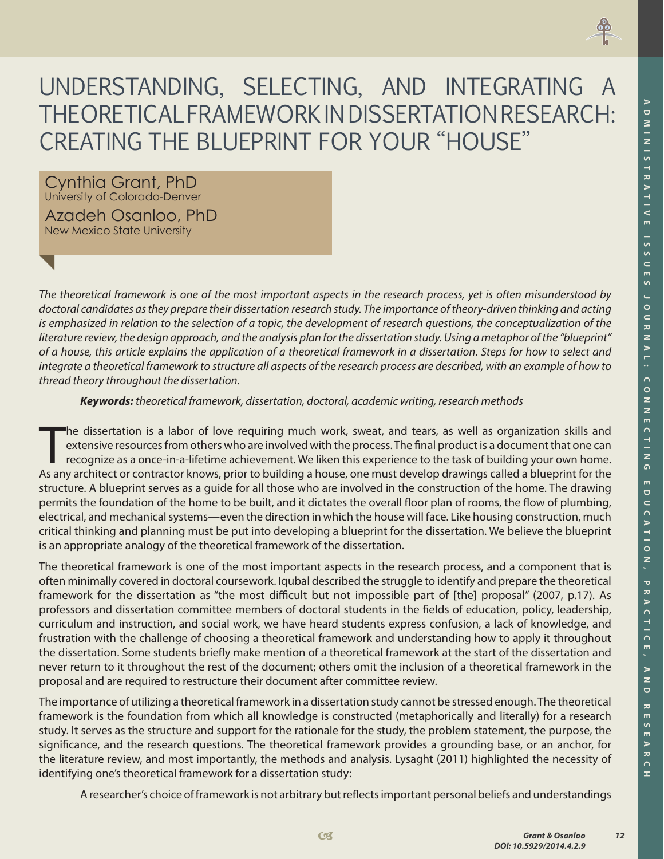# UNDERSTANDING, SELECTING, AND INTEGRATING A THEORETICAL FRAMEWORK IN DISSERTATION RESEARCH: CREATING THE BLUEPRINT FOR YOUR "HOUSE"

Cynthia Grant, PhD University of Colorado-Denver Azadeh Osanloo, PhD New Mexico State University

*The theoretical framework is one of the most important aspects in the research process, yet is often misunderstood by doctoral candidates as they prepare their dissertation research study. The importance of theory-driven thinking and acting is emphasized in relation to the selection of a topic, the development of research questions, the conceptualization of the literature review, the design approach, and the analysis plan for the dissertation study. Using a metaphor of the "blueprint" of a house, this article explains the application of a theoretical framework in a dissertation. Steps for how to select and integrate a theoretical framework to structure all aspects of the research process are described, with an example of how to thread theory throughout the dissertation.* 

#### *Keywords: theoretical framework, dissertation, doctoral, academic writing, research methods*

The dissertation is a labor of love requiring much work, sweat, and tears, as well as organization skills and extensive resources from others who are involved with the process. The final product is a document that one can he dissertation is a labor of love requiring much work, sweat, and tears, as well as organization skills and extensive resources from others who are involved with the process. The final product is a document that one can recognize as a once-in-a-lifetime achievement. We liken this experience to the task of building your own home. structure. A blueprint serves as a guide for all those who are involved in the construction of the home. The drawing permits the foundation of the home to be built, and it dictates the overall floor plan of rooms, the flow of plumbing, electrical, and mechanical systems—even the direction in which the house will face. Like housing construction, much critical thinking and planning must be put into developing a blueprint for the dissertation. We believe the blueprint is an appropriate analogy of the theoretical framework of the dissertation.

The theoretical framework is one of the most important aspects in the research process, and a component that is often minimally covered in doctoral coursework. Iqubal described the struggle to identify and prepare the theoretical framework for the dissertation as "the most difficult but not impossible part of [the] proposal" (2007, p.17). As professors and dissertation committee members of doctoral students in the fields of education, policy, leadership, curriculum and instruction, and social work, we have heard students express confusion, a lack of knowledge, and frustration with the challenge of choosing a theoretical framework and understanding how to apply it throughout the dissertation. Some students briefly make mention of a theoretical framework at the start of the dissertation and never return to it throughout the rest of the document; others omit the inclusion of a theoretical framework in the proposal and are required to restructure their document after committee review.

The importance of utilizing a theoretical framework in a dissertation study cannot be stressed enough. The theoretical framework is the foundation from which all knowledge is constructed (metaphorically and literally) for a research study. It serves as the structure and support for the rationale for the study, the problem statement, the purpose, the significance, and the research questions. The theoretical framework provides a grounding base, or an anchor, for the literature review, and most importantly, the methods and analysis. Lysaght (2011) highlighted the necessity of identifying one's theoretical framework for a dissertation study:

A researcher's choice of framework is not arbitrary but reflects important personal beliefs and understandings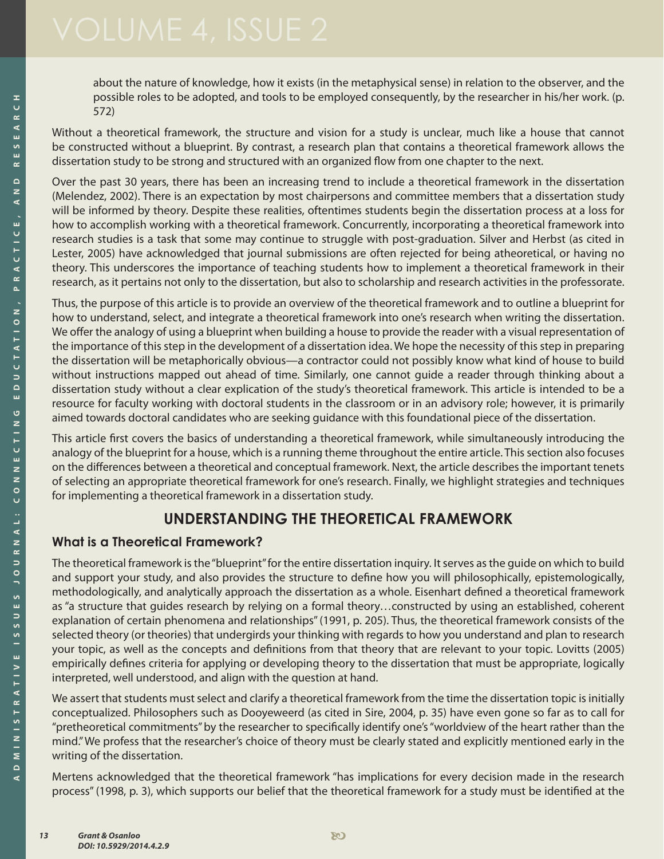about the nature of knowledge, how it exists (in the metaphysical sense) in relation to the observer, and the possible roles to be adopted, and tools to be employed consequently, by the researcher in his/her work. (p. 572)

Without a theoretical framework, the structure and vision for a study is unclear, much like a house that cannot be constructed without a blueprint. By contrast, a research plan that contains a theoretical framework allows the dissertation study to be strong and structured with an organized flow from one chapter to the next.

Over the past 30 years, there has been an increasing trend to include a theoretical framework in the dissertation (Melendez, 2002). There is an expectation by most chairpersons and committee members that a dissertation study will be informed by theory. Despite these realities, oftentimes students begin the dissertation process at a loss for how to accomplish working with a theoretical framework. Concurrently, incorporating a theoretical framework into research studies is a task that some may continue to struggle with post-graduation. Silver and Herbst (as cited in Lester, 2005) have acknowledged that journal submissions are often rejected for being atheoretical, or having no theory. This underscores the importance of teaching students how to implement a theoretical framework in their research, as it pertains not only to the dissertation, but also to scholarship and research activities in the professorate.

Thus, the purpose of this article is to provide an overview of the theoretical framework and to outline a blueprint for how to understand, select, and integrate a theoretical framework into one's research when writing the dissertation. We offer the analogy of using a blueprint when building a house to provide the reader with a visual representation of the importance of this step in the development of a dissertation idea. We hope the necessity of this step in preparing the dissertation will be metaphorically obvious—a contractor could not possibly know what kind of house to build without instructions mapped out ahead of time. Similarly, one cannot guide a reader through thinking about a dissertation study without a clear explication of the study's theoretical framework. This article is intended to be a resource for faculty working with doctoral students in the classroom or in an advisory role; however, it is primarily aimed towards doctoral candidates who are seeking guidance with this foundational piece of the dissertation.

This article first covers the basics of understanding a theoretical framework, while simultaneously introducing the analogy of the blueprint for a house, which is a running theme throughout the entire article. This section also focuses on the differences between a theoretical and conceptual framework. Next, the article describes the important tenets of selecting an appropriate theoretical framework for one's research. Finally, we highlight strategies and techniques for implementing a theoretical framework in a dissertation study.

# **UNDERSTANDING THE THEORETICAL FRAMEWORK**

### **What is a Theoretical Framework?**

The theoretical framework is the "blueprint" for the entire dissertation inquiry. It serves as the guide on which to build and support your study, and also provides the structure to define how you will philosophically, epistemologically, methodologically, and analytically approach the dissertation as a whole. Eisenhart defined a theoretical framework as "a structure that guides research by relying on a formal theory…constructed by using an established, coherent explanation of certain phenomena and relationships" (1991, p. 205). Thus, the theoretical framework consists of the selected theory (or theories) that undergirds your thinking with regards to how you understand and plan to research your topic, as well as the concepts and definitions from that theory that are relevant to your topic. Lovitts (2005) empirically defines criteria for applying or developing theory to the dissertation that must be appropriate, logically interpreted, well understood, and align with the question at hand.

We assert that students must select and clarify a theoretical framework from the time the dissertation topic is initially conceptualized. Philosophers such as Dooyeweerd (as cited in Sire, 2004, p. 35) have even gone so far as to call for "pretheoretical commitments" by the researcher to specifically identify one's "worldview of the heart rather than the mind." We profess that the researcher's choice of theory must be clearly stated and explicitly mentioned early in the writing of the dissertation.

Mertens acknowledged that the theoretical framework "has implications for every decision made in the research process" (1998, p. 3), which supports our belief that the theoretical framework for a study must be identified at the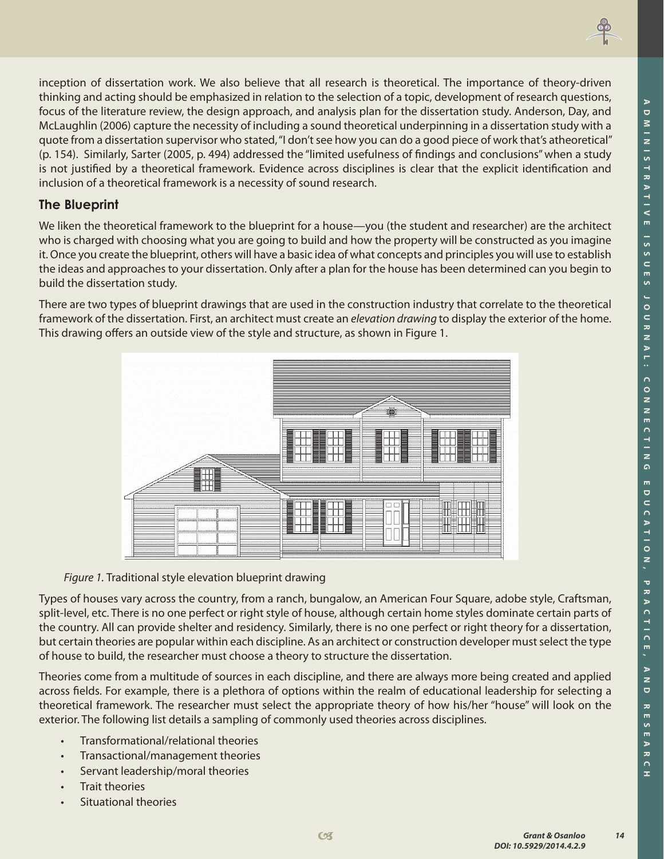

inception of dissertation work. We also believe that all research is theoretical. The importance of theory-driven thinking and acting should be emphasized in relation to the selection of a topic, development of research questions, focus of the literature review, the design approach, and analysis plan for the dissertation study. Anderson, Day, and McLaughlin (2006) capture the necessity of including a sound theoretical underpinning in a dissertation study with a quote from a dissertation supervisor who stated, "I don't see how you can do a good piece of work that's atheoretical" (p. 154). Similarly, Sarter (2005, p. 494) addressed the "limited usefulness of findings and conclusions" when a study is not justified by a theoretical framework. Evidence across disciplines is clear that the explicit identification and inclusion of a theoretical framework is a necessity of sound research.

#### **The Blueprint**

We liken the theoretical framework to the blueprint for a house—you (the student and researcher) are the architect who is charged with choosing what you are going to build and how the property will be constructed as you imagine it. Once you create the blueprint, others will have a basic idea of what concepts and principles you will use to establish the ideas and approaches to your dissertation. Only after a plan for the house has been determined can you begin to build the dissertation study.

There are two types of blueprint drawings that are used in the construction industry that correlate to the theoretical framework of the dissertation. First, an architect must create an *elevation drawing* to display the exterior of the home. This drawing offers an outside view of the style and structure, as shown in Figure 1.





Types of houses vary across the country, from a ranch, bungalow, an American Four Square, adobe style, Craftsman, split-level, etc. There is no one perfect or right style of house, although certain home styles dominate certain parts of the country. All can provide shelter and residency. Similarly, there is no one perfect or right theory for a dissertation, but certain theories are popular within each discipline. As an architect or construction developer must select the type of house to build, the researcher must choose a theory to structure the dissertation.

Theories come from a multitude of sources in each discipline, and there are always more being created and applied across fields. For example, there is a plethora of options within the realm of educational leadership for selecting a theoretical framework. The researcher must select the appropriate theory of how his/her "house" will look on the exterior. The following list details a sampling of commonly used theories across disciplines.

- Transformational/relational theories
- Transactional/management theories
- Servant leadership/moral theories
- **Trait theories**
- Situational theories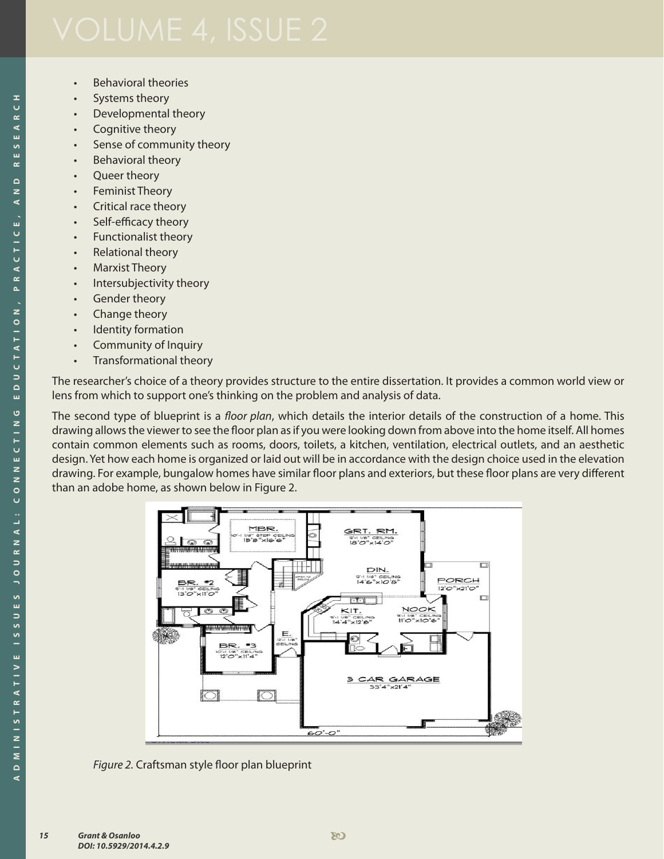- **Behavioral theories**
- Systems theory
- Developmental theory
- Cognitive theory
- Sense of community theory
- **Behavioral theory**
- Queer theory
- **Feminist Theory**
- Critical race theory
- Self-efficacy theory
- Functionalist theory
- Relational theory
- **Marxist Theory**
- Intersubjectivity theory
- Gender theory
- Change theory
- **Identity formation**
- Community of Inquiry
- Transformational theory

The researcher's choice of a theory provides structure to the entire dissertation. It provides a common world view or lens from which to support one's thinking on the problem and analysis of data.

The second type of blueprint is a *floor plan*, which details the interior details of the construction of a home. This drawing allows the viewer to see the floor plan as if you were looking down from above into the home itself. All homes contain common elements such as rooms, doors, toilets, a kitchen, ventilation, electrical outlets, and an aesthetic design. Yet how each home is organized or laid out will be in accordance with the design choice used in the elevation drawing. For example, bungalow homes have similar floor plans and exteriors, but these floor plans are very different than an adobe home, as shown below in Figure 2.



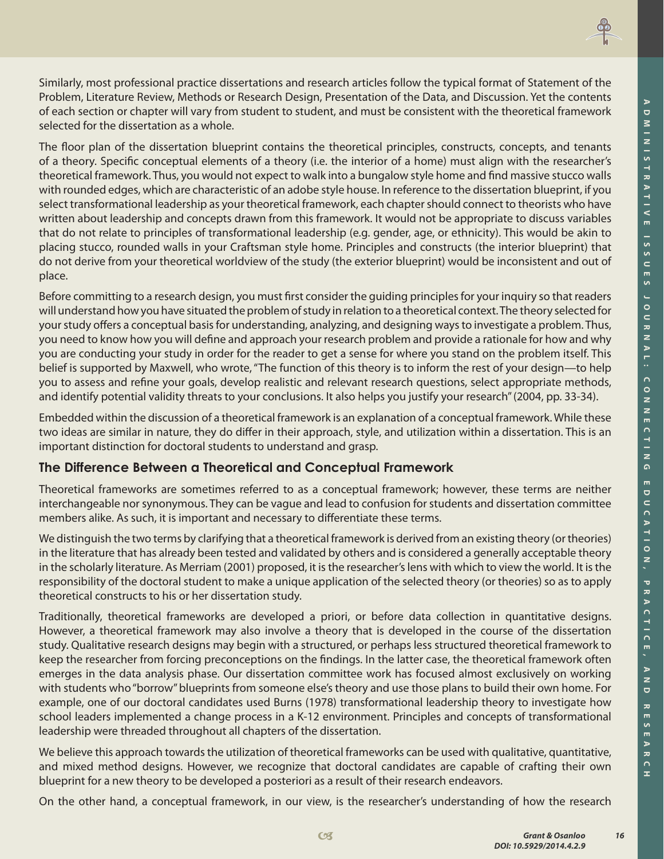

Similarly, most professional practice dissertations and research articles follow the typical format of Statement of the Problem, Literature Review, Methods or Research Design, Presentation of the Data, and Discussion. Yet the contents of each section or chapter will vary from student to student, and must be consistent with the theoretical framework selected for the dissertation as a whole.

The floor plan of the dissertation blueprint contains the theoretical principles, constructs, concepts, and tenants of a theory. Specific conceptual elements of a theory (i.e. the interior of a home) must align with the researcher's theoretical framework. Thus, you would not expect to walk into a bungalow style home and find massive stucco walls with rounded edges, which are characteristic of an adobe style house. In reference to the dissertation blueprint, if you select transformational leadership as your theoretical framework, each chapter should connect to theorists who have written about leadership and concepts drawn from this framework. It would not be appropriate to discuss variables that do not relate to principles of transformational leadership (e.g. gender, age, or ethnicity). This would be akin to placing stucco, rounded walls in your Craftsman style home. Principles and constructs (the interior blueprint) that do not derive from your theoretical worldview of the study (the exterior blueprint) would be inconsistent and out of place.

Before committing to a research design, you must first consider the guiding principles for your inquiry so that readers will understand how you have situated the problem of study in relation to a theoretical context. The theory selected for your study offers a conceptual basis for understanding, analyzing, and designing ways to investigate a problem. Thus, you need to know how you will define and approach your research problem and provide a rationale for how and why you are conducting your study in order for the reader to get a sense for where you stand on the problem itself. This belief is supported by Maxwell, who wrote, "The function of this theory is to inform the rest of your design—to help you to assess and refine your goals, develop realistic and relevant research questions, select appropriate methods, and identify potential validity threats to your conclusions. It also helps you justify your research" (2004, pp. 33-34).

Embedded within the discussion of a theoretical framework is an explanation of a conceptual framework. While these two ideas are similar in nature, they do differ in their approach, style, and utilization within a dissertation. This is an important distinction for doctoral students to understand and grasp.

#### **The Difference Between a Theoretical and Conceptual Framework**

Theoretical frameworks are sometimes referred to as a conceptual framework; however, these terms are neither interchangeable nor synonymous. They can be vague and lead to confusion for students and dissertation committee members alike. As such, it is important and necessary to differentiate these terms.

We distinguish the two terms by clarifying that a theoretical framework is derived from an existing theory (or theories) in the literature that has already been tested and validated by others and is considered a generally acceptable theory in the scholarly literature. As Merriam (2001) proposed, it is the researcher's lens with which to view the world. It is the responsibility of the doctoral student to make a unique application of the selected theory (or theories) so as to apply theoretical constructs to his or her dissertation study.

Traditionally, theoretical frameworks are developed a priori, or before data collection in quantitative designs. However, a theoretical framework may also involve a theory that is developed in the course of the dissertation study. Qualitative research designs may begin with a structured, or perhaps less structured theoretical framework to keep the researcher from forcing preconceptions on the findings. In the latter case, the theoretical framework often emerges in the data analysis phase. Our dissertation committee work has focused almost exclusively on working with students who "borrow" blueprints from someone else's theory and use those plans to build their own home. For example, one of our doctoral candidates used Burns (1978) transformational leadership theory to investigate how school leaders implemented a change process in a K-12 environment. Principles and concepts of transformational leadership were threaded throughout all chapters of the dissertation.

We believe this approach towards the utilization of theoretical frameworks can be used with qualitative, quantitative, and mixed method designs. However, we recognize that doctoral candidates are capable of crafting their own blueprint for a new theory to be developed a posteriori as a result of their research endeavors.

On the other hand, a conceptual framework, in our view, is the researcher's understanding of how the research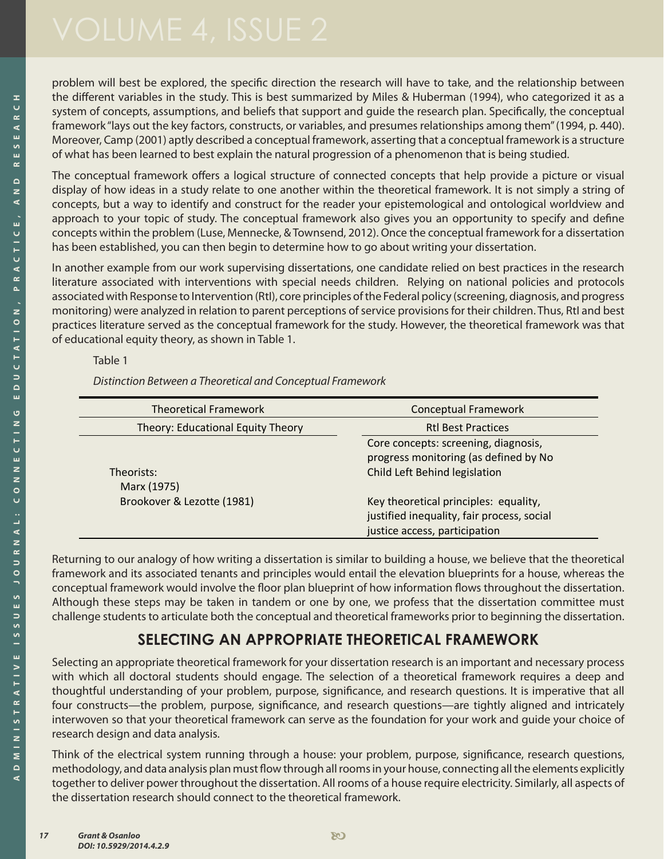problem will best be explored, the specific direction the research will have to take, and the relationship between the different variables in the study. This is best summarized by Miles & Huberman (1994), who categorized it as a system of concepts, assumptions, and beliefs that support and guide the research plan. Specifically, the conceptual framework "lays out the key factors, constructs, or variables, and presumes relationships among them" (1994, p. 440). Moreover, Camp (2001) aptly described a conceptual framework, asserting that a conceptual framework is a structure of what has been learned to best explain the natural progression of a phenomenon that is being studied.

The conceptual framework offers a logical structure of connected concepts that help provide a picture or visual display of how ideas in a study relate to one another within the theoretical framework. It is not simply a string of concepts, but a way to identify and construct for the reader your epistemological and ontological worldview and approach to your topic of study. The conceptual framework also gives you an opportunity to specify and define concepts within the problem (Luse, Mennecke, & Townsend, 2012). Once the conceptual framework for a dissertation has been established, you can then begin to determine how to go about writing your dissertation.

In another example from our work supervising dissertations, one candidate relied on best practices in the research literature associated with interventions with special needs children. Relying on national policies and protocols associated with Response to Intervention (RtI), core principles of the Federal policy (screening, diagnosis, and progress monitoring) were analyzed in relation to parent perceptions of service provisions for their children. Thus, RtI and best practices literature served as the conceptual framework for the study. However, the theoretical framework was that of educational equity theory, as shown in Table 1.

Table 1

*Distinction Between a Theoretical and Conceptual Framework*

| <b>Theoretical Framework</b>      | <b>Conceptual Framework</b>                                                                                          |
|-----------------------------------|----------------------------------------------------------------------------------------------------------------------|
| Theory: Educational Equity Theory | <b>Rtl Best Practices</b>                                                                                            |
| Theorists:<br>Marx (1975)         | Core concepts: screening, diagnosis,<br>progress monitoring (as defined by No<br>Child Left Behind legislation       |
| Brookover & Lezotte (1981)        | Key theoretical principles: equality,<br>justified inequality, fair process, social<br>justice access, participation |

Returning to our analogy of how writing a dissertation is similar to building a house, we believe that the theoretical framework and its associated tenants and principles would entail the elevation blueprints for a house, whereas the conceptual framework would involve the floor plan blueprint of how information flows throughout the dissertation. Although these steps may be taken in tandem or one by one, we profess that the dissertation committee must challenge students to articulate both the conceptual and theoretical frameworks prior to beginning the dissertation.

# **SELECTING AN APPROPRIATE THEORETICAL FRAMEWORK**

Selecting an appropriate theoretical framework for your dissertation research is an important and necessary process with which all doctoral students should engage. The selection of a theoretical framework requires a deep and thoughtful understanding of your problem, purpose, significance, and research questions. It is imperative that all four constructs—the problem, purpose, significance, and research questions—are tightly aligned and intricately interwoven so that your theoretical framework can serve as the foundation for your work and guide your choice of research design and data analysis.

Think of the electrical system running through a house: your problem, purpose, significance, research questions, methodology, and data analysis plan must flow through all rooms in your house, connecting all the elements explicitly together to deliver power throughout the dissertation. All rooms of a house require electricity. Similarly, all aspects of the dissertation research should connect to the theoretical framework.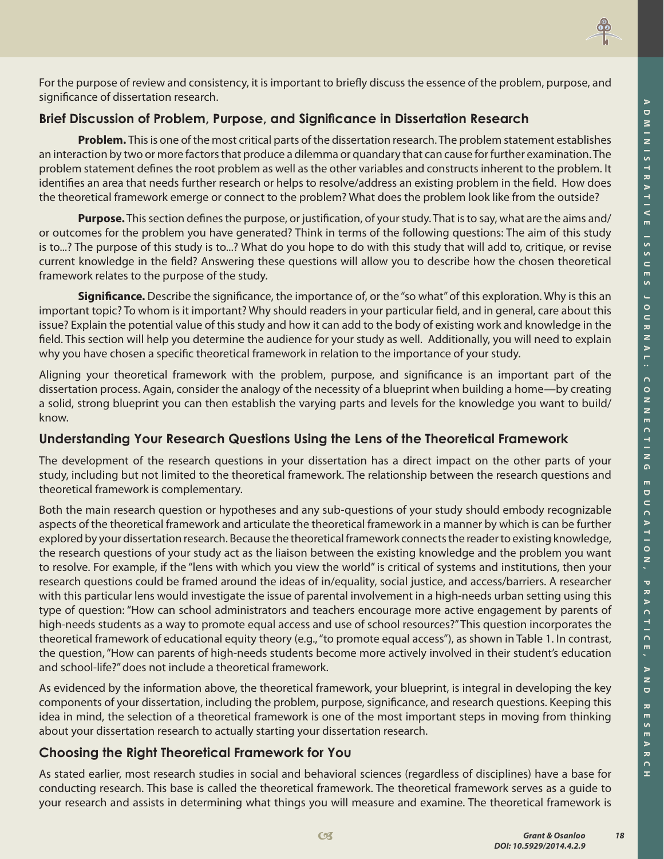

For the purpose of review and consistency, it is important to briefly discuss the essence of the problem, purpose, and significance of dissertation research.

#### **Brief Discussion of Problem, Purpose, and Significance in Dissertation Research**

 **Problem.** This is one of the most critical parts of the dissertation research. The problem statement establishes an interaction by two or more factors that produce a dilemma or quandary that can cause for further examination. The problem statement defines the root problem as well as the other variables and constructs inherent to the problem. It identifies an area that needs further research or helps to resolve/address an existing problem in the field. How does the theoretical framework emerge or connect to the problem? What does the problem look like from the outside?

 **Purpose.** This section defines the purpose, or justification, of your study. That is to say, what are the aims and/ or outcomes for the problem you have generated? Think in terms of the following questions: The aim of this study is to...? The purpose of this study is to...? What do you hope to do with this study that will add to, critique, or revise current knowledge in the field? Answering these questions will allow you to describe how the chosen theoretical framework relates to the purpose of the study.

 **Significance.** Describe the significance, the importance of, or the "so what" of this exploration. Why is this an important topic? To whom is it important? Why should readers in your particular field, and in general, care about this issue? Explain the potential value of this study and how it can add to the body of existing work and knowledge in the field. This section will help you determine the audience for your study as well. Additionally, you will need to explain why you have chosen a specific theoretical framework in relation to the importance of your study.

Aligning your theoretical framework with the problem, purpose, and significance is an important part of the dissertation process. Again, consider the analogy of the necessity of a blueprint when building a home—by creating a solid, strong blueprint you can then establish the varying parts and levels for the knowledge you want to build/ know.

### **Understanding Your Research Questions Using the Lens of the Theoretical Framework**

The development of the research questions in your dissertation has a direct impact on the other parts of your study, including but not limited to the theoretical framework. The relationship between the research questions and theoretical framework is complementary.

Both the main research question or hypotheses and any sub-questions of your study should embody recognizable aspects of the theoretical framework and articulate the theoretical framework in a manner by which is can be further explored by your dissertation research. Because the theoretical framework connects the reader to existing knowledge, the research questions of your study act as the liaison between the existing knowledge and the problem you want to resolve. For example, if the "lens with which you view the world" is critical of systems and institutions, then your research questions could be framed around the ideas of in/equality, social justice, and access/barriers. A researcher with this particular lens would investigate the issue of parental involvement in a high-needs urban setting using this type of question: "How can school administrators and teachers encourage more active engagement by parents of high-needs students as a way to promote equal access and use of school resources?" This question incorporates the theoretical framework of educational equity theory (e.g., "to promote equal access"), as shown in Table 1. In contrast, the question, "How can parents of high-needs students become more actively involved in their student's education and school-life?" does not include a theoretical framework.

As evidenced by the information above, the theoretical framework, your blueprint, is integral in developing the key components of your dissertation, including the problem, purpose, significance, and research questions. Keeping this idea in mind, the selection of a theoretical framework is one of the most important steps in moving from thinking about your dissertation research to actually starting your dissertation research.

### **Choosing the Right Theoretical Framework for You**

As stated earlier, most research studies in social and behavioral sciences (regardless of disciplines) have a base for conducting research. This base is called the theoretical framework. The theoretical framework serves as a guide to your research and assists in determining what things you will measure and examine. The theoretical framework is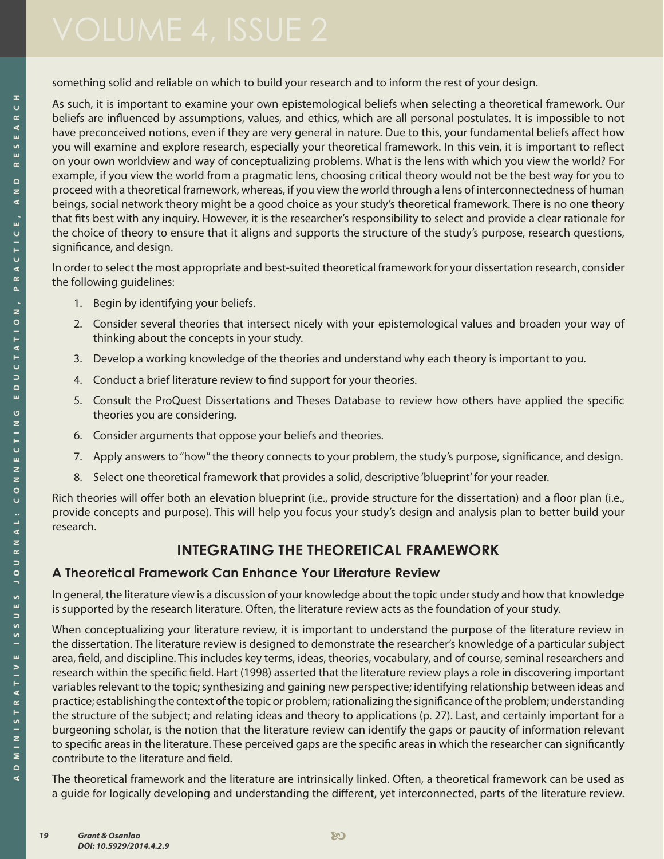something solid and reliable on which to build your research and to inform the rest of your design.

As such, it is important to examine your own epistemological beliefs when selecting a theoretical framework. Our beliefs are influenced by assumptions, values, and ethics, which are all personal postulates. It is impossible to not have preconceived notions, even if they are very general in nature. Due to this, your fundamental beliefs affect how you will examine and explore research, especially your theoretical framework. In this vein, it is important to reflect on your own worldview and way of conceptualizing problems. What is the lens with which you view the world? For example, if you view the world from a pragmatic lens, choosing critical theory would not be the best way for you to proceed with a theoretical framework, whereas, if you view the world through a lens of interconnectedness of human beings, social network theory might be a good choice as your study's theoretical framework. There is no one theory that fits best with any inquiry. However, it is the researcher's responsibility to select and provide a clear rationale for the choice of theory to ensure that it aligns and supports the structure of the study's purpose, research questions, significance, and design.

In order to select the most appropriate and best-suited theoretical framework for your dissertation research, consider the following guidelines:

- 1. Begin by identifying your beliefs.
- 2. Consider several theories that intersect nicely with your epistemological values and broaden your way of thinking about the concepts in your study.
- 3. Develop a working knowledge of the theories and understand why each theory is important to you.
- 4. Conduct a brief literature review to find support for your theories.
- 5. Consult the ProQuest Dissertations and Theses Database to review how others have applied the specific theories you are considering.
- 6. Consider arguments that oppose your beliefs and theories.
- 7. Apply answers to "how" the theory connects to your problem, the study's purpose, significance, and design.
- 8. Select one theoretical framework that provides a solid, descriptive 'blueprint' for your reader.

Rich theories will offer both an elevation blueprint (i.e., provide structure for the dissertation) and a floor plan (i.e., provide concepts and purpose). This will help you focus your study's design and analysis plan to better build your research.

# **INTEGRATING THE THEORETICAL FRAMEWORK**

#### **A Theoretical Framework Can Enhance Your Literature Review**

In general, the literature view is a discussion of your knowledge about the topic under study and how that knowledge is supported by the research literature. Often, the literature review acts as the foundation of your study.

When conceptualizing your literature review, it is important to understand the purpose of the literature review in the dissertation. The literature review is designed to demonstrate the researcher's knowledge of a particular subject area, field, and discipline. This includes key terms, ideas, theories, vocabulary, and of course, seminal researchers and research within the specific field. Hart (1998) asserted that the literature review plays a role in discovering important variables relevant to the topic; synthesizing and gaining new perspective; identifying relationship between ideas and practice; establishing the context of the topic or problem; rationalizing the significance of the problem; understanding the structure of the subject; and relating ideas and theory to applications (p. 27). Last, and certainly important for a burgeoning scholar, is the notion that the literature review can identify the gaps or paucity of information relevant to specific areas in the literature. These perceived gaps are the specific areas in which the researcher can significantly contribute to the literature and field.

The theoretical framework and the literature are intrinsically linked. Often, a theoretical framework can be used as a guide for logically developing and understanding the different, yet interconnected, parts of the literature review.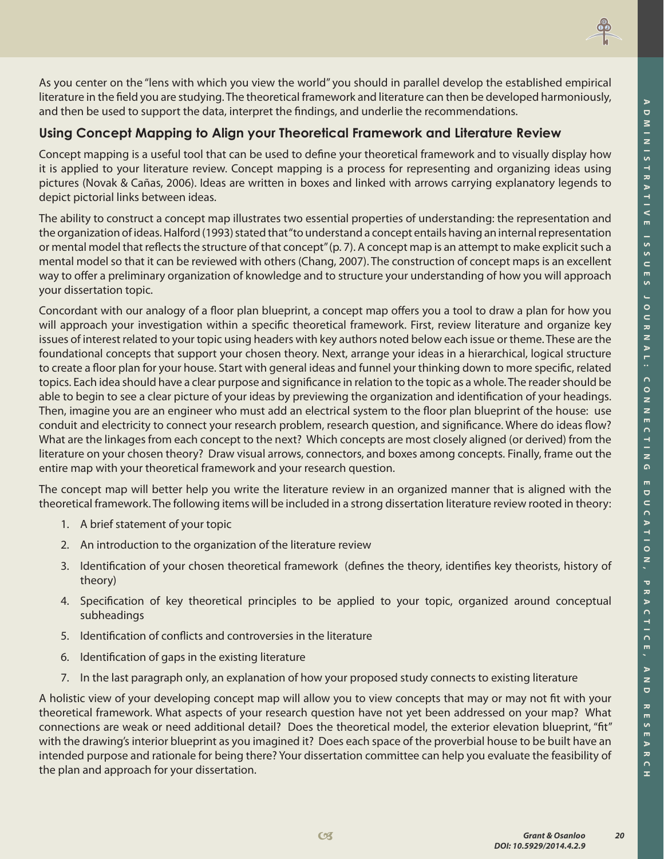

As you center on the "lens with which you view the world" you should in parallel develop the established empirical literature in the field you are studying. The theoretical framework and literature can then be developed harmoniously, and then be used to support the data, interpret the findings, and underlie the recommendations.

#### **Using Concept Mapping to Align your Theoretical Framework and Literature Review**

Concept mapping is a useful tool that can be used to define your theoretical framework and to visually display how it is applied to your literature review. Concept mapping is a process for representing and organizing ideas using pictures (Novak & Cañas, 2006). Ideas are written in boxes and linked with arrows carrying explanatory legends to depict pictorial links between ideas.

The ability to construct a concept map illustrates two essential properties of understanding: the representation and the organization of ideas. Halford (1993) stated that "to understand a concept entails having an internal representation or mental model that reflects the structure of that concept" (p. 7). A concept map is an attempt to make explicit such a mental model so that it can be reviewed with others (Chang, 2007). The construction of concept maps is an excellent way to offer a preliminary organization of knowledge and to structure your understanding of how you will approach your dissertation topic.

Concordant with our analogy of a floor plan blueprint, a concept map offers you a tool to draw a plan for how you will approach your investigation within a specific theoretical framework. First, review literature and organize key issues of interest related to your topic using headers with key authors noted below each issue or theme. These are the foundational concepts that support your chosen theory. Next, arrange your ideas in a hierarchical, logical structure to create a floor plan for your house. Start with general ideas and funnel your thinking down to more specific, related topics. Each idea should have a clear purpose and significance in relation to the topic as a whole. The reader should be able to begin to see a clear picture of your ideas by previewing the organization and identification of your headings. Then, imagine you are an engineer who must add an electrical system to the floor plan blueprint of the house: use conduit and electricity to connect your research problem, research question, and significance. Where do ideas flow? What are the linkages from each concept to the next? Which concepts are most closely aligned (or derived) from the literature on your chosen theory? Draw visual arrows, connectors, and boxes among concepts. Finally, frame out the entire map with your theoretical framework and your research question.

The concept map will better help you write the literature review in an organized manner that is aligned with the theoretical framework. The following items will be included in a strong dissertation literature review rooted in theory:

- 1. A brief statement of your topic
- 2. An introduction to the organization of the literature review
- 3. Identification of your chosen theoretical framework (defines the theory, identifies key theorists, history of theory)
- 4. Specification of key theoretical principles to be applied to your topic, organized around conceptual subheadings
- 5. Identification of conflicts and controversies in the literature
- 6. Identification of gaps in the existing literature
- 7. In the last paragraph only, an explanation of how your proposed study connects to existing literature

A holistic view of your developing concept map will allow you to view concepts that may or may not fit with your theoretical framework. What aspects of your research question have not yet been addressed on your map? What connections are weak or need additional detail? Does the theoretical model, the exterior elevation blueprint, "fit" with the drawing's interior blueprint as you imagined it? Does each space of the proverbial house to be built have an intended purpose and rationale for being there? Your dissertation committee can help you evaluate the feasibility of the plan and approach for your dissertation.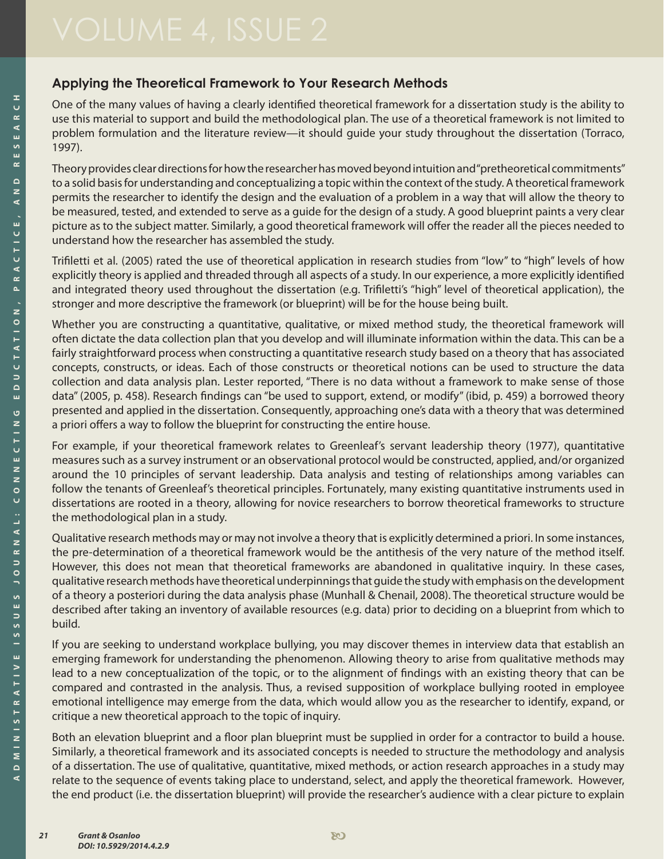### **Applying the Theoretical Framework to Your Research Methods**

One of the many values of having a clearly identified theoretical framework for a dissertation study is the ability to use this material to support and build the methodological plan. The use of a theoretical framework is not limited to problem formulation and the literature review—it should guide your study throughout the dissertation (Torraco, 1997).

Theory provides clear directions for how the researcher has moved beyond intuition and "pretheoretical commitments" to a solid basis for understanding and conceptualizing a topic within the context of the study. A theoretical framework permits the researcher to identify the design and the evaluation of a problem in a way that will allow the theory to be measured, tested, and extended to serve as a guide for the design of a study. A good blueprint paints a very clear picture as to the subject matter. Similarly, a good theoretical framework will offer the reader all the pieces needed to understand how the researcher has assembled the study.

Trifiletti et al. (2005) rated the use of theoretical application in research studies from "low" to "high" levels of how explicitly theory is applied and threaded through all aspects of a study. In our experience, a more explicitly identified and integrated theory used throughout the dissertation (e.g. Trifiletti's "high" level of theoretical application), the stronger and more descriptive the framework (or blueprint) will be for the house being built.

Whether you are constructing a quantitative, qualitative, or mixed method study, the theoretical framework will often dictate the data collection plan that you develop and will illuminate information within the data. This can be a fairly straightforward process when constructing a quantitative research study based on a theory that has associated concepts, constructs, or ideas. Each of those constructs or theoretical notions can be used to structure the data collection and data analysis plan. Lester reported, "There is no data without a framework to make sense of those data" (2005, p. 458). Research findings can "be used to support, extend, or modify" (ibid, p. 459) a borrowed theory presented and applied in the dissertation. Consequently, approaching one's data with a theory that was determined a priori offers a way to follow the blueprint for constructing the entire house.

For example, if your theoretical framework relates to Greenleaf's servant leadership theory (1977), quantitative measures such as a survey instrument or an observational protocol would be constructed, applied, and/or organized around the 10 principles of servant leadership. Data analysis and testing of relationships among variables can follow the tenants of Greenleaf's theoretical principles. Fortunately, many existing quantitative instruments used in dissertations are rooted in a theory, allowing for novice researchers to borrow theoretical frameworks to structure the methodological plan in a study.

Qualitative research methods may or may not involve a theory that is explicitly determined a priori. In some instances, the pre-determination of a theoretical framework would be the antithesis of the very nature of the method itself. However, this does not mean that theoretical frameworks are abandoned in qualitative inquiry. In these cases, qualitative research methods have theoretical underpinnings that guide the study with emphasis on the development of a theory a posteriori during the data analysis phase (Munhall & Chenail, 2008). The theoretical structure would be described after taking an inventory of available resources (e.g. data) prior to deciding on a blueprint from which to build.

If you are seeking to understand workplace bullying, you may discover themes in interview data that establish an emerging framework for understanding the phenomenon. Allowing theory to arise from qualitative methods may lead to a new conceptualization of the topic, or to the alignment of findings with an existing theory that can be compared and contrasted in the analysis. Thus, a revised supposition of workplace bullying rooted in employee emotional intelligence may emerge from the data, which would allow you as the researcher to identify, expand, or critique a new theoretical approach to the topic of inquiry.

Both an elevation blueprint and a floor plan blueprint must be supplied in order for a contractor to build a house. Similarly, a theoretical framework and its associated concepts is needed to structure the methodology and analysis of a dissertation. The use of qualitative, quantitative, mixed methods, or action research approaches in a study may relate to the sequence of events taking place to understand, select, and apply the theoretical framework. However, the end product (i.e. the dissertation blueprint) will provide the researcher's audience with a clear picture to explain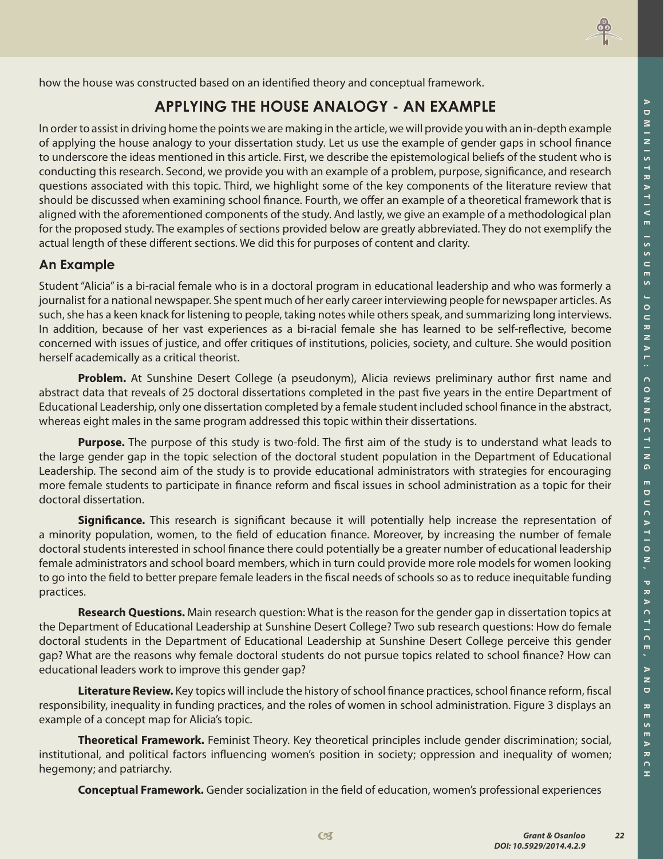

# **APPLYING THE HOUSE ANALOGY - AN EXAMPLE**

In order to assist in driving home the points we are making in the article, we will provide you with an in-depth example of applying the house analogy to your dissertation study. Let us use the example of gender gaps in school finance to underscore the ideas mentioned in this article. First, we describe the epistemological beliefs of the student who is conducting this research. Second, we provide you with an example of a problem, purpose, significance, and research questions associated with this topic. Third, we highlight some of the key components of the literature review that should be discussed when examining school finance. Fourth, we offer an example of a theoretical framework that is aligned with the aforementioned components of the study. And lastly, we give an example of a methodological plan for the proposed study. The examples of sections provided below are greatly abbreviated. They do not exemplify the actual length of these different sections. We did this for purposes of content and clarity.

#### **An Example**

Student "Alicia" is a bi-racial female who is in a doctoral program in educational leadership and who was formerly a journalist for a national newspaper. She spent much of her early career interviewing people for newspaper articles. As such, she has a keen knack for listening to people, taking notes while others speak, and summarizing long interviews. In addition, because of her vast experiences as a bi-racial female she has learned to be self-reflective, become concerned with issues of justice, and offer critiques of institutions, policies, society, and culture. She would position herself academically as a critical theorist.

 **Problem.** At Sunshine Desert College (a pseudonym), Alicia reviews preliminary author first name and abstract data that reveals of 25 doctoral dissertations completed in the past five years in the entire Department of Educational Leadership, only one dissertation completed by a female student included school finance in the abstract, whereas eight males in the same program addressed this topic within their dissertations.

 **Purpose.** The purpose of this study is two-fold. The first aim of the study is to understand what leads to the large gender gap in the topic selection of the doctoral student population in the Department of Educational Leadership. The second aim of the study is to provide educational administrators with strategies for encouraging more female students to participate in finance reform and fiscal issues in school administration as a topic for their doctoral dissertation.

 **Significance.** This research is significant because it will potentially help increase the representation of a minority population, women, to the field of education finance. Moreover, by increasing the number of female doctoral students interested in school finance there could potentially be a greater number of educational leadership female administrators and school board members, which in turn could provide more role models for women looking to go into the field to better prepare female leaders in the fiscal needs of schools so as to reduce inequitable funding practices.

 **Research Questions.** Main research question: What is the reason for the gender gap in dissertation topics at the Department of Educational Leadership at Sunshine Desert College? Two sub research questions: How do female doctoral students in the Department of Educational Leadership at Sunshine Desert College perceive this gender gap? What are the reasons why female doctoral students do not pursue topics related to school finance? How can educational leaders work to improve this gender gap?

 **Literature Review.** Key topics will include the history of school finance practices, school finance reform, fiscal responsibility, inequality in funding practices, and the roles of women in school administration. Figure 3 displays an example of a concept map for Alicia's topic.

 **Theoretical Framework.** Feminist Theory. Key theoretical principles include gender discrimination; social, institutional, and political factors influencing women's position in society; oppression and inequality of women; hegemony; and patriarchy.

**Conceptual Framework.** Gender socialization in the field of education, women's professional experiences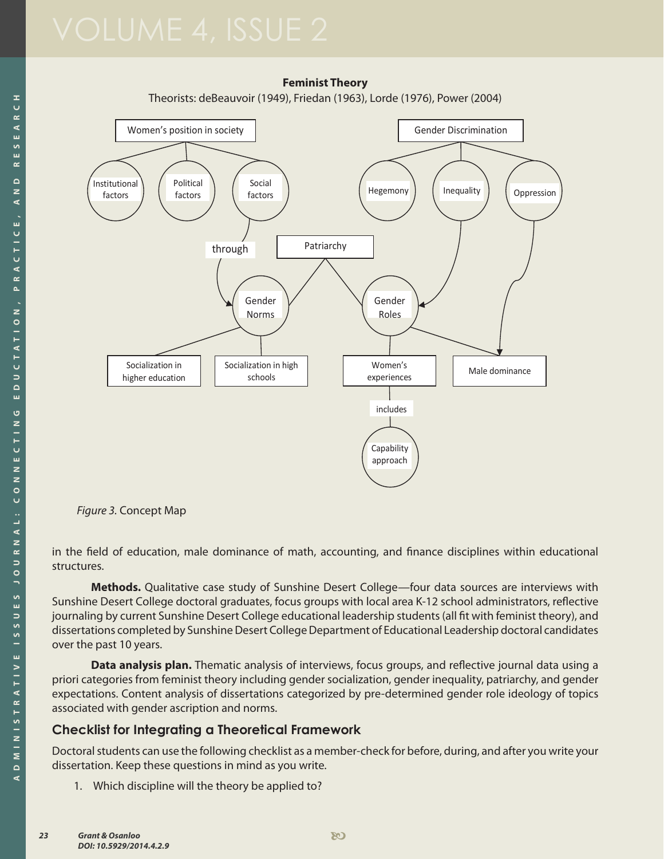#### **Feminist Theory Feminist Theory**

Theorists: deBeauvoir (1949), Friedan (1963), Lorde (1976), Power (2004) Theorists: deBeauvoir (1949), Friedan (1963), Lorde (1976), Power (2004)



*Figure 3.* Concept Map

in the field of education, male dominance of math, accounting, and finance disciplines within educational structures.

 **Methods.** Qualitative case study of Sunshine Desert College—four data sources are interviews with Sunshine Desert College doctoral graduates, focus groups with local area K-12 school administrators, reflective journaling by current Sunshine Desert College educational leadership students (all fit with feminist theory), and dissertations completed by Sunshine Desert College Department of Educational Leadership doctoral candidates over the past 10 years.

 **Data analysis plan.** Thematic analysis of interviews, focus groups, and reflective journal data using a priori categories from feminist theory including gender socialization, gender inequality, patriarchy, and gender expectations. Content analysis of dissertations categorized by pre-determined gender role ideology of topics associated with gender ascription and norms.

#### **Checklist for Integrating a Theoretical Framework**

Doctoral students can use the following checklist as a member-check for before, during, and after you write your dissertation. Keep these questions in mind as you write.

1. Which discipline will the theory be applied to?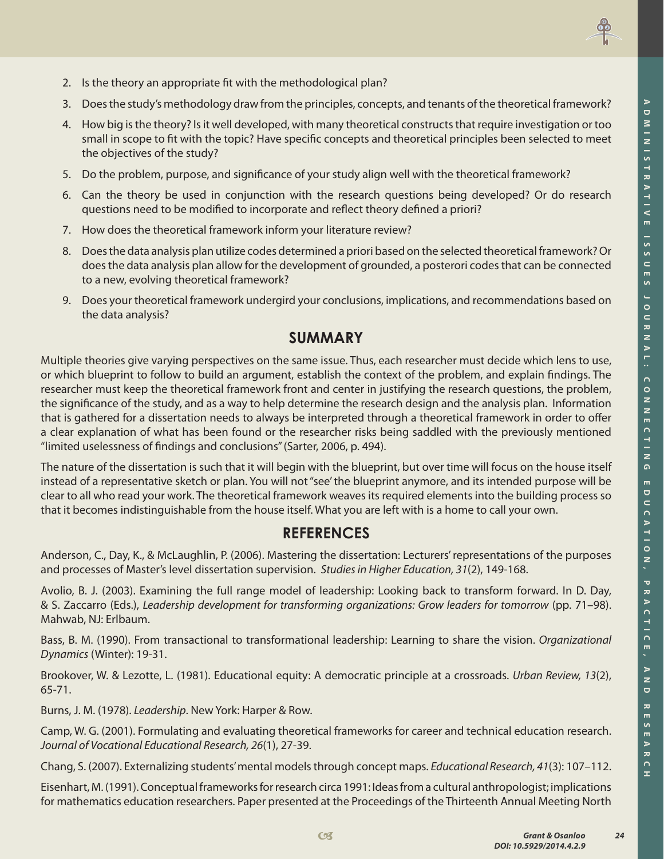

- 2. Is the theory an appropriate fit with the methodological plan?
- 3. Does the study's methodology draw from the principles, concepts, and tenants of the theoretical framework?
- 4. How big is the theory? Is it well developed, with many theoretical constructs that require investigation or too small in scope to fit with the topic? Have specific concepts and theoretical principles been selected to meet the objectives of the study?
- 5. Do the problem, purpose, and significance of your study align well with the theoretical framework?
- 6. Can the theory be used in conjunction with the research questions being developed? Or do research questions need to be modified to incorporate and reflect theory defined a priori?
- 7. How does the theoretical framework inform your literature review?
- 8. Does the data analysis plan utilize codes determined a priori based on the selected theoretical framework? Or does the data analysis plan allow for the development of grounded, a posterori codes that can be connected to a new, evolving theoretical framework?
- 9. Does your theoretical framework undergird your conclusions, implications, and recommendations based on the data analysis?

### **SUMMARY**

Multiple theories give varying perspectives on the same issue. Thus, each researcher must decide which lens to use, or which blueprint to follow to build an argument, establish the context of the problem, and explain findings. The researcher must keep the theoretical framework front and center in justifying the research questions, the problem, the significance of the study, and as a way to help determine the research design and the analysis plan. Information that is gathered for a dissertation needs to always be interpreted through a theoretical framework in order to offer a clear explanation of what has been found or the researcher risks being saddled with the previously mentioned "limited uselessness of findings and conclusions" (Sarter, 2006, p. 494).

The nature of the dissertation is such that it will begin with the blueprint, but over time will focus on the house itself instead of a representative sketch or plan. You will not "see' the blueprint anymore, and its intended purpose will be clear to all who read your work. The theoretical framework weaves its required elements into the building process so that it becomes indistinguishable from the house itself. What you are left with is a home to call your own.

#### **REFERENCES**

Anderson, C., Day, K., & McLaughlin, P. (2006). Mastering the dissertation: Lecturers' representations of the purposes and processes of Master's level dissertation supervision. *Studies in Higher Education, 31*(2), 149-168.

Avolio, B. J. (2003). Examining the full range model of leadership: Looking back to transform forward. In D. Day, & S. Zaccarro (Eds.), *Leadership development for transforming organizations: Grow leaders for tomorrow* (pp. 71–98). Mahwab, NJ: Erlbaum.

Bass, B. M. (1990). From transactional to transformational leadership: Learning to share the vision. *Organizational Dynamics* (Winter): 19-31.

Brookover, W. & Lezotte, L. (1981). Educational equity: A democratic principle at a crossroads. *Urban Review, 13*(2), 65-71.

Burns, J. M. (1978). *Leadership*. New York: Harper & Row.

Camp, W. G. (2001). Formulating and evaluating theoretical frameworks for career and technical education research. *Journal of Vocational Educational Research, 26*(1), 27-39.

Chang, S. (2007). Externalizing students' mental models through concept maps. *Educational Research, 41*(3): 107–112.

Eisenhart, M. (1991). Conceptual frameworks for research circa 1991: Ideas from a cultural anthropologist; implications for mathematics education researchers. Paper presented at the Proceedings of the Thirteenth Annual Meeting North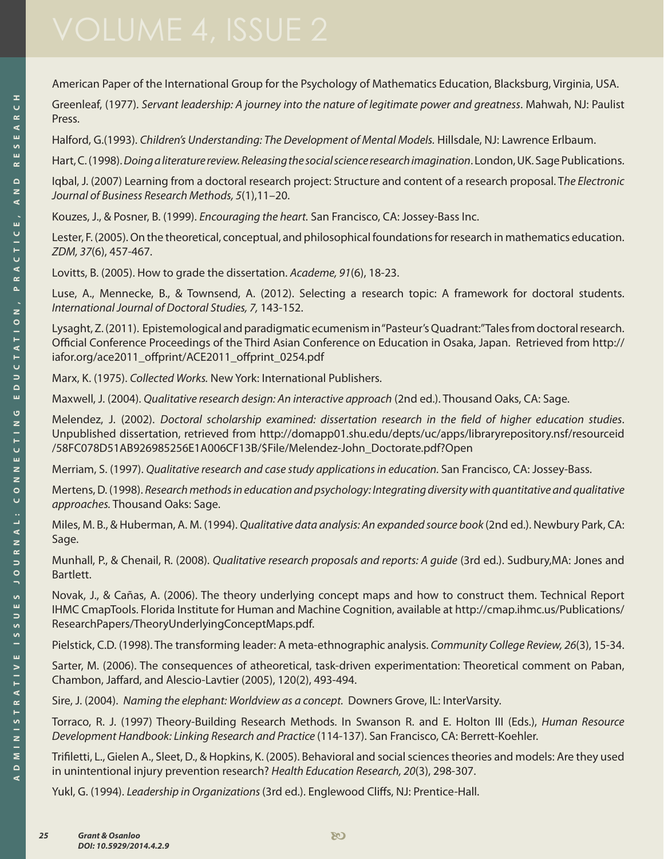American Paper of the International Group for the Psychology of Mathematics Education, Blacksburg, Virginia, USA.

Greenleaf, (1977). *Servant leadership: A journey into the nature of legitimate power and greatness*. Mahwah, NJ: Paulist Press.

Halford, G.(1993). *Children's Understanding: The Development of Mental Models.* Hillsdale, NJ: Lawrence Erlbaum.

Hart, C. (1998). *Doing a literature review. Releasing the social science research imagination*. London, UK. Sage Publications.

Iqbal, J. (2007) Learning from a doctoral research project: Structure and content of a research proposal. T*he Electronic Journal of Business Research Methods, 5*(1),11–20.

Kouzes, J., & Posner, B. (1999). *Encouraging the heart.* San Francisco, CA: Jossey-Bass Inc.

Lester, F. (2005). On the theoretical, conceptual, and philosophical foundations for research in mathematics education. *ZDM, 37*(6), 457-467.

Lovitts, B. (2005). How to grade the dissertation. *Academe, 91*(6), 18-23.

Luse, A., Mennecke, B., & Townsend, A. (2012). Selecting a research topic: A framework for doctoral students. *International Journal of Doctoral Studies, 7,* 143-152.

Lysaght, Z. (2011). Epistemological and paradigmatic ecumenism in "Pasteur's Quadrant:" Tales from doctoral research. Official Conference Proceedings of the Third Asian Conference on Education in Osaka, Japan. Retrieved from http:// iafor.org/ace2011\_offprint/ACE2011\_offprint\_0254.pdf

Marx, K. (1975). *Collected Works.* New York: International Publishers.

Maxwell, J. (2004). *Qualitative research design: An interactive approach* (2nd ed.). Thousand Oaks, CA: Sage.

Melendez, J. (2002). *Doctoral scholarship examined: dissertation research in the field of higher education studies*. Unpublished dissertation, retrieved from http://domapp01.shu.edu/depts/uc/apps/libraryrepository.nsf/resourceid /58FC078D51AB926985256E1A006CF13B/\$File/Melendez-John\_Doctorate.pdf?Open

Merriam, S. (1997). *Qualitative research and case study applications in education.* San Francisco, CA: Jossey-Bass.

Mertens, D. (1998). *Research methods in education and psychology: Integrating diversity with quantitative and qualitative approaches.* Thousand Oaks: Sage.

Miles, M. B., & Huberman, A. M. (1994). *Qualitative data analysis: An expanded source book* (2nd ed.). Newbury Park, CA: Sage.

Munhall, P., & Chenail, R. (2008). *Qualitative research proposals and reports: A guide* (3rd ed.). Sudbury,MA: Jones and Bartlett.

Novak, J., & Cañas, A. (2006). The theory underlying concept maps and how to construct them. Technical Report IHMC CmapTools. Florida Institute for Human and Machine Cognition, available at http://cmap.ihmc.us/Publications/ ResearchPapers/TheoryUnderlyingConceptMaps.pdf.

Pielstick, C.D. (1998). The transforming leader: A meta-ethnographic analysis. *Community College Review, 26*(3), 15-34.

Sarter, M. (2006). The consequences of atheoretical, task-driven experimentation: Theoretical comment on Paban, Chambon, Jaffard, and Alescio-Lavtier (2005), 120(2), 493-494.

Sire, J. (2004). *Naming the elephant: Worldview as a concept.* Downers Grove, IL: InterVarsity.

Torraco, R. J. (1997) Theory-Building Research Methods. In Swanson R. and E. Holton III (Eds.), *Human Resource Development Handbook: Linking Research and Practice* (114-137). San Francisco, CA: Berrett-Koehler.

Trifiletti, L., Gielen A., Sleet, D., & Hopkins, K. (2005). Behavioral and social sciences theories and models: Are they used in unintentional injury prevention research? *Health Education Research, 20*(3), 298-307.

Yukl, G. (1994). *Leadership in Organizations* (3rd ed.). Englewood Cliffs, NJ: Prentice-Hall.